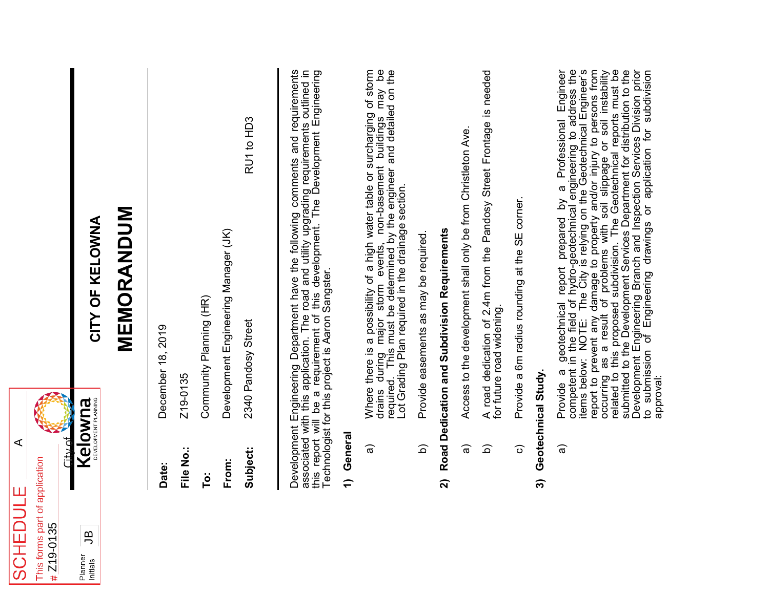| <b>SCHEDUL</b>                               | ⋖<br>Щ                          |                                                                                                                                                                                                                                                                                                                                                                                                                                                                                                                                                                                                                                                                                                                   |
|----------------------------------------------|---------------------------------|-------------------------------------------------------------------------------------------------------------------------------------------------------------------------------------------------------------------------------------------------------------------------------------------------------------------------------------------------------------------------------------------------------------------------------------------------------------------------------------------------------------------------------------------------------------------------------------------------------------------------------------------------------------------------------------------------------------------|
| This forms part of application<br># Z19-0135 |                                 |                                                                                                                                                                                                                                                                                                                                                                                                                                                                                                                                                                                                                                                                                                                   |
|                                              | ام بدانا<br>آ                   |                                                                                                                                                                                                                                                                                                                                                                                                                                                                                                                                                                                                                                                                                                                   |
| த<br>Planner<br>Initials                     | DEVELOPMENT PLANNING<br>Kelowna | CITY OF KELOWNA                                                                                                                                                                                                                                                                                                                                                                                                                                                                                                                                                                                                                                                                                                   |
|                                              |                                 | MEMORANDUM                                                                                                                                                                                                                                                                                                                                                                                                                                                                                                                                                                                                                                                                                                        |
|                                              | Date:                           | December 18, 2019                                                                                                                                                                                                                                                                                                                                                                                                                                                                                                                                                                                                                                                                                                 |
|                                              | File No.:                       | Z19-0135                                                                                                                                                                                                                                                                                                                                                                                                                                                                                                                                                                                                                                                                                                          |
|                                              | To:                             | Community Planning (HR)                                                                                                                                                                                                                                                                                                                                                                                                                                                                                                                                                                                                                                                                                           |
|                                              | From:                           | Development Engineering Manager (JK)                                                                                                                                                                                                                                                                                                                                                                                                                                                                                                                                                                                                                                                                              |
|                                              | Subject:                        | RU1 to HD3<br>2340 Pandosy Street                                                                                                                                                                                                                                                                                                                                                                                                                                                                                                                                                                                                                                                                                 |
|                                              |                                 | Development Engineering Department have the following comments and requirements<br>associated with this application. The road and utility upgrading requirements outlined in<br>this report will be a requirement of this developmen<br>Technologist for this project is Aaron Sangster.                                                                                                                                                                                                                                                                                                                                                                                                                          |
|                                              | General<br>$\hat{r}$            |                                                                                                                                                                                                                                                                                                                                                                                                                                                                                                                                                                                                                                                                                                                   |
|                                              | ଚ୍ଚ                             | $\mathsf{B}^\mathsf{D}$<br>Where there is a possibility of a high water table or surcharging of storm<br>drains during major storm events, non-basement buildings may be<br>required. This must be determined by the engineer and detailed on the<br>ot Grading Plan required in the drainage section.                                                                                                                                                                                                                                                                                                                                                                                                            |
|                                              | $\widehat{\mathsf{d}}$          | Provide easements as may be required                                                                                                                                                                                                                                                                                                                                                                                                                                                                                                                                                                                                                                                                              |
|                                              | ลิ                              | Road Dedication and Subdivision Requirements                                                                                                                                                                                                                                                                                                                                                                                                                                                                                                                                                                                                                                                                      |
|                                              | ଚ୍ଚ                             | Access to the development shall only be from Christleton Ave.                                                                                                                                                                                                                                                                                                                                                                                                                                                                                                                                                                                                                                                     |
|                                              | $\widehat{\Omega}$              | Street Frontage is needed<br>A road dedication of 2.4m from the Pandosy<br>for future road widening                                                                                                                                                                                                                                                                                                                                                                                                                                                                                                                                                                                                               |
|                                              | $\widehat{\circ}$               | Provide a 6m radius rounding at the SE corner.                                                                                                                                                                                                                                                                                                                                                                                                                                                                                                                                                                                                                                                                    |
|                                              | ົດ                              | Geotechnical Study.                                                                                                                                                                                                                                                                                                                                                                                                                                                                                                                                                                                                                                                                                               |
|                                              | ଟ୍ଟ                             | Provide a geotechnical report prepared by a Professional Engineer<br>competent in the field of hydro-geotechnical engineering to address the<br>items below: NOTE: The City is relying on the Geotechnical Engineer's<br>report to prevent any damage to property and/or injury to persons from<br>occurring as a result of problems with soil slippage or soil instability<br>related to this proposed subdivision. The Geotechnical reports must be<br>submitted to the Development Services Department for distribution to the<br>Development Engineering Branch and Inspection Services Division prior<br>to submission of Engineering drawings or application for subdivision<br>approval:<br>$\overline{5}$ |

**SCHEDULE**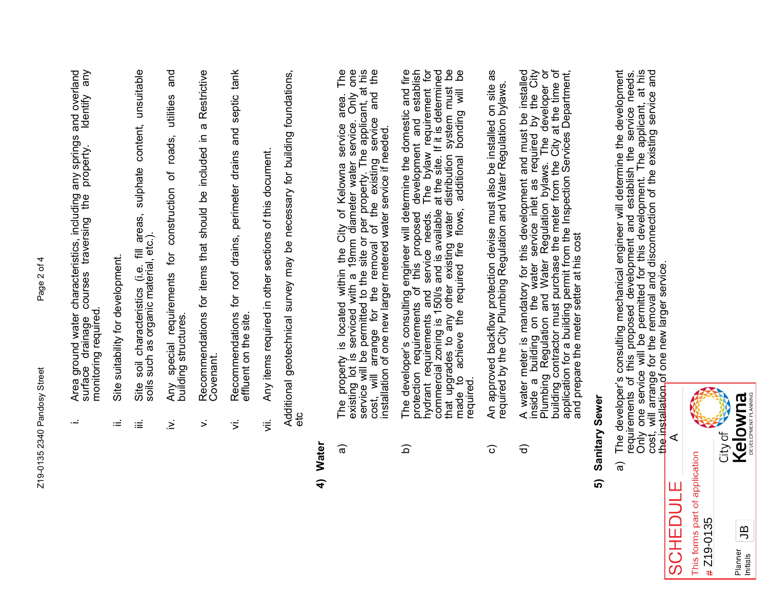$\cdot$   $\pm$ 

- Area ground water characteristics, including any springs and overland<br>surface drainage courses traversing the property. Identify any<br>monitoring required. surface drainage courses traversing the property. Identify any i. Area ground water characteristics, including any springs and overland monitoring required.
- ii. Site suitability for development. Site suitability for development ωĖ
- areas, sulphate content, unsuitable iii. Site soil characteristics (i.e. fill areas, sulphate content, unsuitable soils such as organic material, etc.). soils such as organic material, etc.). ₹ soil characteristics (i.e. Site iΞ
- and iv. Any special requirements for construction of roads, utilities and utilities roads, special requirements for construction of building structures. building structures. Any Σ.
- Restrictive v. Recommendations for items that should be included in a Restrictive Recommendations for items that should be included in a Covenant.  $\mathbf{r}$
- Recommendations for roof drains, perimeter drains and septic tank vi. Recommendations for roof drains, perimeter drains and septic tank effluent on the site. effluent on the site.  $\overline{5}$
- Any items required in other sections of this document. vii. Any items required in other sections of this document.  $\ddot{\bar{\bar{z}}}$

Additional geotechnical survey may be necessary for building foundations, Additional geotechnical survey may be necessary for building foundations,<br>etc

### **4) Water**

- The property is located within the City of Kelowna service area. The existing lot is serviced with a 19mm diameter water service. Only one service will be permitted to the site or per property. The applicant, at his cost, a) The property is located within the City of Kelowna service area. The cost, will arrange for the removal of the existing service and the existing lot is serviced with a 19mm diameter water service. Only one service will be permitted to the site or per property. The applicant, at his installation of one new larger metered water service if needed. କ
- The developer's consulting engineer will determine the domestic and fire<br>protection requirements of this proposed development and establish<br>hydrant requirements and service needs. The bylaw requirement for hydrant requirements and service needs. The bylaw requirement for<br>commercial zoning is 150l/s and is available at the site. If it is determined<br>that upgrades to any other existing water distribution system must be<br>made to commercial zoning is 150l/s and is available at the site. If it is determined that upgrades to any other existing water distribution system must be b) The developer's consulting engineer will determine the domestic and fire protection requirements of this proposed development and establish hydrant requirements and service needs. The bylaw requirement for made to achieve the required fire flows, additional bonding will be <u>ର</u>
- An approved backflow protection devise must also be installed on site as c) An approved backflow protection devise must also be installed on site as required by the City Plumbing Regulation and Water Regulation bylaws. required by the City Plumbing Regulation and Water Regulation bylaws.  $\widehat{\circ}$
- inside a building on the water service inlet as required by the City<br>Plumbing Regulation and Water Regulation bylaws. The developer or<br>building contractor must purchase the meter from the City at the time of<br>application fo water meter is mandatory for this development and must be installed d) A water meter is mandatory for this development and must be installed inside a building on the water service inlet as required by the City Plumbing Regulation and Water Regulation bylaws. The developer or building contractor must purchase the meter from the City at the time of application for a building permit from the Inspection Services Department, and prepare the meter setter at his cost A water<br>inside ଟ

#### Sanitary Sewer **5) Sanitary Sewer** ົລ

The developer's consulting mechanical engineer will determine the development<br>requirements of this proposed development and establish the service needs.<br>Only one service will be permitted for this development. The applican cost, will arrange for the removal and disconnection of the existing service and a) The developer's consulting mechanical engineer will determine the development requirements of this proposed development and establish the service needs. Only one service will be permitted for this development. The applicant, at his the installation of one new larger service. କ

SCHEDU



 $#$ 

Planner<br>Initials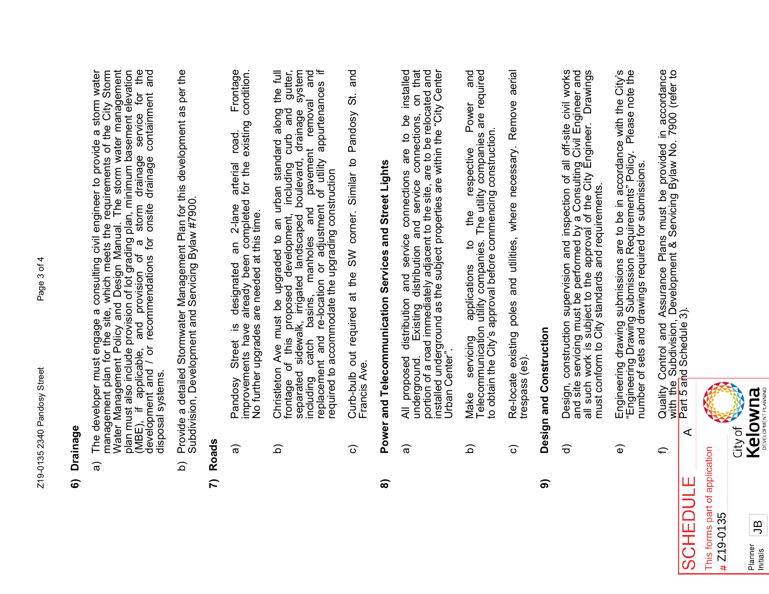#### **6) Drainage** Drainage 6

- The developer must engage a consulting civil engineer to provide a storm water<br>management plan for the site, which meets the requirements of the City Storm<br>Water Management Policy and Design Manual. The storm water managem (MBE), if applicable, and provision of a storm drainage service for the<br>development and / or recommendations for onsite drainage containment and a) The developer must engage a consulting civil engineer to provide a storm water management plan for the site, which meets the requirements of the City Storm Water Management Policy and Design Manual. The storm water management plan must also include provision of lot grading plan, minimum basement elevation (MBE), if applicable, and provision of a storm drainage service for the development and / or recommendations for onsite drainage containment and disposal systems. disposal systems. କ
- Provide a detailed Stormwater Management Plan for this development as per the<br>Subdivision, Development and Servicing Bylaw #7900. b) Provide a detailed Stormwater Management Plan for this development as per the Subdivision, Development and Servicing Bylaw #7900. <u>ි</u>

### **7) Roads**

- Frontage a) Pandosy Street is designated an 2-lane arterial road. Frontage improvements have already been completed for the existing condition. condition. existing road. arterial<br>for the designated an 2-lane<br>already been completed No further upgrades are needed at this time. No further upgrades are needed at this time. Pandosy Street is<br>improvements have କ
- $\equiv$ gutter, and  $\equiv$ separated sidewalk, irrigated landscaped boulevard, drainage system b) Christleton Ave must be upgraded to an urban standard along the full frontage of this proposed development, including curb and gutter, system including catch basins, manholes and pavement removal and replacement and re-location or adjustment of utility appurtenances if including catch basins, manholes and pavement removal an<br>replacement and re-location or adjustment of utility appurtenances<br>required to accommodate the upgrading construction Christleton Ave must be upgraded to an urban standard along the frontage of this proposed development, including curb and gut separated sidewalk, irrigated landscaped boulevard, drainage systincluding catch basins, manhole required to accommodate the upgrading construction <u>ର</u>
- and c) Curb-bulb out required at the SW corner. Similar to Pandosy St. and Curb-bulb out required at the SW corner. Similar to Pandosy St. Francis Ave. Francis Ave. ි

## and Telecommunication Services and Street Lights **8) Power and Telecommunication Services and Street Lights** Power ၜ

- All proposed distribution and service connections are to be installed<br>underground. Existing distribution and service connections, on that<br>portion of a road immediately adjacent to the site, are to be relocated and<br>installe a) All proposed distribution and service connections are to be installed installed underground as the subject properties are within the "City Center underground. Existing distribution and service connections, on that portion of a road immediately adjacent to the site, are to be relocated and Urban Center". Urban Center" ଚ
- Make servicing applications to the respective Power and<br>Telecommunication utility companies. The utility companies are required<br>to obtain the City's approval before commencing construction. b) Make servicing applications to the respective Power and Telecommunication utility companies. The utility companies are required to obtain the City's approval before commencing construction. <u>ි</u>
- Re-locate existing poles and utilities, where necessary. Remove aerial c) Re-locate existing poles and utilities, where necessary. Remove aerial trespass (es). trespass (es) ত

### Design and Construction **9) Design and Construction** ெ

- Design, construction supervision and inspection of all off-site civil works<br>and site servicing must be performed by a Consulting Civil Engineer and<br>all such work is subject to the approval of the City Engineer. Drawings<br>mu d) Design, construction supervision and inspection of all off-site civil works and site servicing must be performed by a Consulting Civil Engineer and all such work is subject to the approval of the City Engineer. Drawings must conform to City standards and requirements.  $\widehat{\sigma}$
- Engineering drawing submissions are to be in accordance with the City's<br>"Engineering Drawing Submission Requirements" Policy. Please note the<br>number of sets and drawings required for submissions. e) Engineering drawing submissions are to be in accordance with the City's "Engineering Drawing Submission Requirements" Policy. Please note the number of sets and drawings required for submissions.  $\widehat{\mathbf{e}}$
- Quality Control and Assurance Plans must be provided in accordance<br>with the Subdivision, Development & Servicing Bylaw No. 7900 (refer to<br>Part 5 and Schedule 3). f) Quality Control and Assurance Plans must be provided in accordance with the Subdivision, Development & Servicing Bylaw No. 7900 (refer to Part 5 and Schedule 3). A € Ш



 $\subset$ 

CHEI

 $\mathcal{O}$ 

JB

**Initials**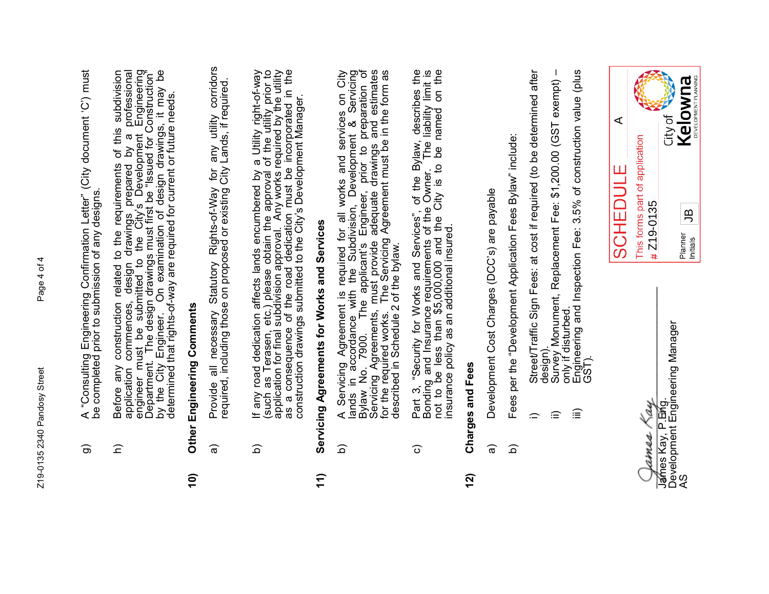- A "Consulting Engineering Confirmation Letter" (City document 'C') must<br>be completed prior to submission of any designs. g) A "Consulting Engineering Confirmation Letter" (City document 'C') must be completed prior to submission of any designs. ි
- Before any construction related to the requirements of this subdivision<br>application commences, design drawings prepared by a professional<br>engineer must be submitted to the City's Development Engineering<br>Department. The des application commences, design drawings prepared by a professional h) Before any construction related to the requirements of this subdivision engineer must be submitted to the City's Development Engineering Department. The design drawings must first be "Issued for Construction" by the City Engineer. On examination of design drawings, it may be determined that rights-of-way are required for current or future needs. determined that rights-of-way are required for current or future needs.  $\widehat{=}$

## Other Engineering Comments **10) Other Engineering Comments**  $(0)$

- a) Provide all necessary Statutory Rights-of-Way for any utility corridors corridors required, including those on proposed or existing City Lands, if required. Provide all necessary Statutory Rights-of-Way for any utility corrid<br>required, including those on proposed or existing City Lands, if required କ
- If any road dedication affects lands encumbered by a Utility right-of-way (such as Terasen, etc.) please obtain the approval of the utility prior to application for final subdivision approval. Any works required by the uti b) If any road dedication affects lands encumbered by a Utility right-of-way (such as Terasen, etc.) please obtain the approval of the utility prior to application for final subdivision approval. Any works required by the utility as a consequence of the road dedication must be incorporated in the construction drawings submitted to the City's Development Manager.  $\widehat{\Omega}$

# Servicing Agreements for Works and Services **11) Servicing Agreements for Works and Services**  $11)$

- A Servicing Agreement is required for all works and services on City<br>lands in accordance with the Subdivision, Development & Servicing<br>Bylaw No. 7900. The applicant's Engineer, prior to preparation of<br>Servicing Agreements, b) A Servicing Agreement is required for all works and services on City lands in accordance with the Subdivision, Development & Servicing Bylaw No. 7900. The applicant's Engineer, prior to preparation of Servicing Agreements, must provide adequate drawings and estimates for the required works. The Servicing Agreement must be in the form as for the required works. The Servicing<br>described in Schedule 2 of the bylaw. described in Schedule 2 of the bylaw. <u>ର</u>
- Part 3, "Security for Works and Services", of the Bylaw, describes the Bonding and Insurance requirements of the Owner. The liability limit is not to be less than \$5,000,000 and the City is to be named on the insurance pol c) Part 3, "Security for Works and Services", of the Bylaw, describes the Bonding and Insurance requirements of the Owner. The liability limit is not to be less than \$5,000,000 and the City is to be named on the insurance policy as an additional insured. ত

### Charges and Fees **12) Charges and Fees** 12)

- Development Cost Charges (DCC's) are payable a) Development Cost Charges (DCC's) are payable  $\widehat{\mathfrak{a}}$
- Fees per the "Development Application Fees Bylaw" include: b) Fees per the "Development Application Fees Bylaw" include:  $\widehat{\Omega}$
- Street/Traffic Sign Fees: at cost if required (to be determined after i) Street/Traffic Sign Fees: at cost if required (to be determined after  $\equiv$
- ii) Survey Monument, Replacement Fee: \$1,200.00 (GST exempt) exempt) design).<br>Survey Monument, Replacement Fee: \$1,200.00 (GST<br>only if disturbed. only if disturbed. ≘
- Engineering and Inspection Fee: 3.5% of construction value (plus<br>GST). iii) Engineering and Inspection Fee: 3.5% of construction value (plus ≘

\_\_\_\_\_\_\_\_\_\_\_\_\_\_\_\_ \_\_\_\_\_\_\_\_\_\_\_\_\_\_\_\_\_\_\_\_\_\_\_\_\_\_\_\_\_\_\_\_\_\_ **Kay** s Kay, P.Ei⁄ig. ames

James Kay, P.Emg. Development Engineering Manager James Kay, P.El⁄ig.<br>Development Engineering Manager<br>AS